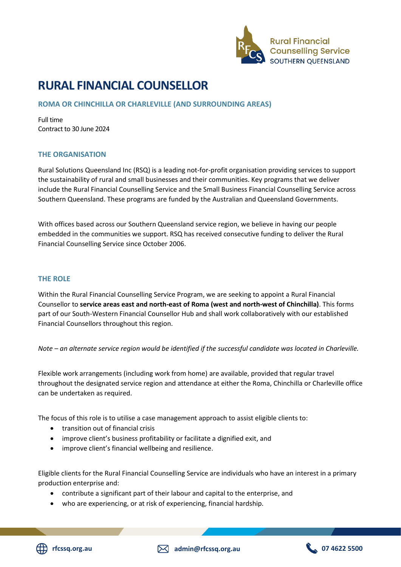

# **RURAL FINANCIAL COUNSELLOR**

# **ROMA OR CHINCHILLA OR CHARLEVILLE (AND SURROUNDING AREAS)**

Full time Contract to 30 June 2024

## **THE ORGANISATION**

Rural Solutions Queensland Inc (RSQ) is a leading not-for-profit organisation providing services to support the sustainability of rural and small businesses and their communities. Key programs that we deliver include the Rural Financial Counselling Service and the Small Business Financial Counselling Service across Southern Queensland. These programs are funded by the Australian and Queensland Governments.

With offices based across our Southern Queensland service region, we believe in having our people embedded in the communities we support. RSQ has received consecutive funding to deliver the Rural Financial Counselling Service since October 2006.

#### **THE ROLE**

Within the Rural Financial Counselling Service Program, we are seeking to appoint a Rural Financial Counsellor to **service areas east and north-east of Roma (west and north-west of Chinchilla)**. This forms part of our South-Western Financial Counsellor Hub and shall work collaboratively with our established Financial Counsellors throughout this region.

*Note – an alternate service region would be identified if the successful candidate was located in Charleville.*

Flexible work arrangements (including work from home) are available, provided that regular travel throughout the designated service region and attendance at either the Roma, Chinchilla or Charleville office can be undertaken as required.

The focus of this role is to utilise a case management approach to assist eligible clients to:

- transition out of financial crisis
- improve client's business profitability or facilitate a dignified exit, and
- improve client's financial wellbeing and resilience.

Eligible clients for the Rural Financial Counselling Service are individuals who have an interest in a primary production enterprise and:

- contribute a significant part of their labour and capital to the enterprise, and
- who are experiencing, or at risk of experiencing, financial hardship.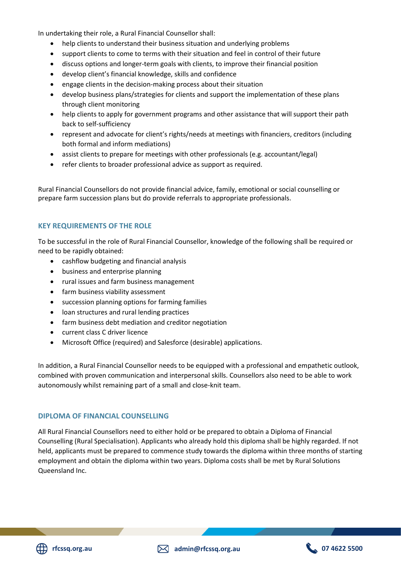In undertaking their role, a Rural Financial Counsellor shall:

- help clients to understand their business situation and underlying problems
- support clients to come to terms with their situation and feel in control of their future
- discuss options and longer-term goals with clients, to improve their financial position
- develop client's financial knowledge, skills and confidence
- engage clients in the decision-making process about their situation
- develop business plans/strategies for clients and support the implementation of these plans through client monitoring
- help clients to apply for government programs and other assistance that will support their path back to self-sufficiency
- represent and advocate for client's rights/needs at meetings with financiers, creditors (including both formal and inform mediations)
- assist clients to prepare for meetings with other professionals (e.g. accountant/legal)
- refer clients to broader professional advice as support as required.

Rural Financial Counsellors do not provide financial advice, family, emotional or social counselling or prepare farm succession plans but do provide referrals to appropriate professionals.

# **KEY REQUIREMENTS OF THE ROLE**

To be successful in the role of Rural Financial Counsellor, knowledge of the following shall be required or need to be rapidly obtained:

- cashflow budgeting and financial analysis
- business and enterprise planning
- rural issues and farm business management
- farm business viability assessment
- succession planning options for farming families
- loan structures and rural lending practices
- farm business debt mediation and creditor negotiation
- current class C driver licence
- Microsoft Office (required) and Salesforce (desirable) applications.

In addition, a Rural Financial Counsellor needs to be equipped with a professional and empathetic outlook, combined with proven communication and interpersonal skills. Counsellors also need to be able to work autonomously whilst remaining part of a small and close-knit team.

# **DIPLOMA OF FINANCIAL COUNSELLING**

All Rural Financial Counsellors need to either hold or be prepared to obtain a Diploma of Financial Counselling (Rural Specialisation). Applicants who already hold this diploma shall be highly regarded. If not held, applicants must be prepared to commence study towards the diploma within three months of starting employment and obtain the diploma within two years. Diploma costs shall be met by Rural Solutions Queensland Inc.